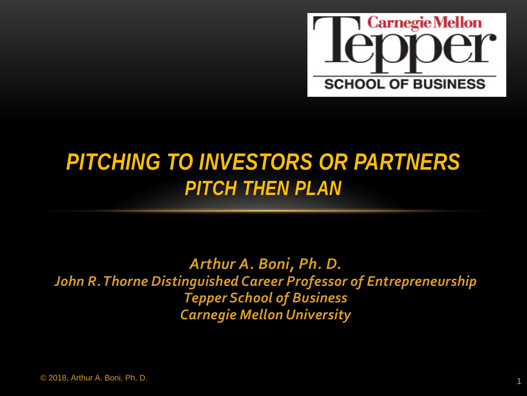

#### *PITCHING TO INVESTORS OR PARTNERS PITCH THEN PLAN*

*Arthur A. Boni, Ph. D. John R. Thorne Distinguished Career Professor of Entrepreneurship Tepper School of Business Carnegie Mellon University*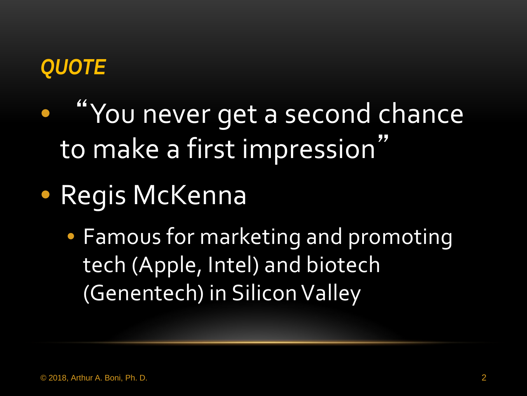#### *QUOTE*

- "You never get a second chance to make a first impression"
- Regis McKenna
	- Famous for marketing and promoting tech (Apple, Intel) and biotech (Genentech) in Silicon Valley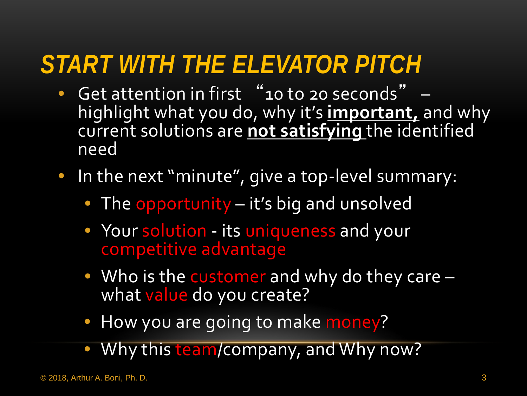## *START WITH THE ELEVATOR PITCH*

- Get attention in first "10 to 20 seconds" highlight what you do, why it's **important,** and why current solutions are **not satisfying** the identified need
- In the next "minute", give a top-level summary:
	- The opportunity it's big and unsolved
	- Your solution its uniqueness and your competitive advantage
	- Who is the customer and why do they care –<br>what value do you create?
	- How you are going to make money?
	- Why this team/company, and Why now?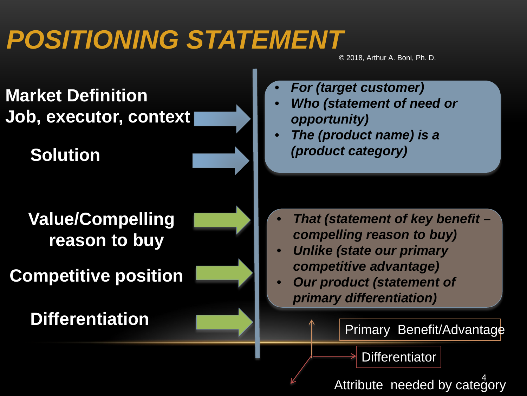# *POSITIONING STATEMENT*

© 2018, Arthur A. Boni, Ph. D.

**Market Definition Job, executor, context**

**Solution**

**Value/Compelling reason to buy**

**Competitive position**

**Differentiation**

- *For (target customer)*
- *Who (statement of need or opportunity)*
- *The (product name) is a (product category)*

- *That (statement of key benefit – compelling reason to buy)*
- *Unlike (state our primary competitive advantage)*
- *Our product (statement of primary differentiation)*

Primary Benefit/Advantage

**Differentiator** 

Attribute needed by category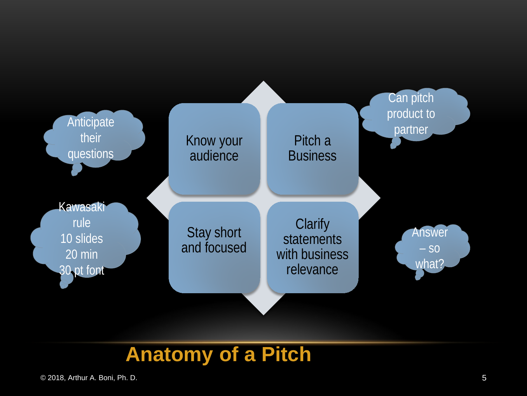

#### **Anatomy of a Pitch**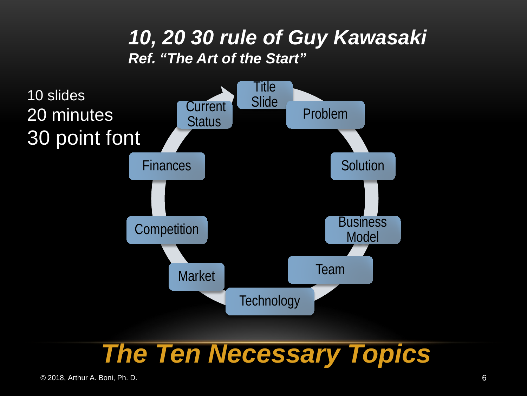#### *10, 20 30 rule of Guy Kawasaki Ref. "The Art of the Start"*



#### *The Ten Necessary Topics*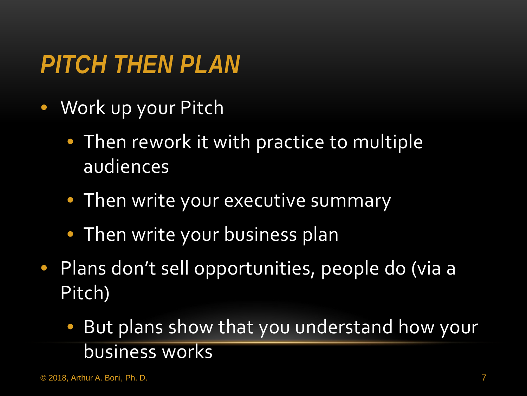# *PITCH THEN PLAN*

- Work up your Pitch
	- Then rework it with practice to multiple audiences
	- Then write your executive summary
	- Then write your business plan
- Plans don't sell opportunities, people do (via a Pitch)
	- But plans show that you understand how your business works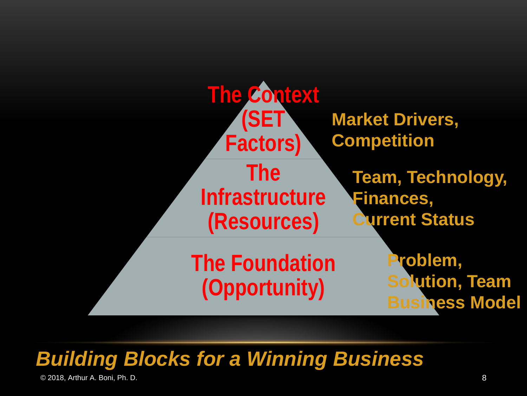

#### *Building Blocks for a Winning Business*

© 2018, Arthur A. Boni, Ph. D. 8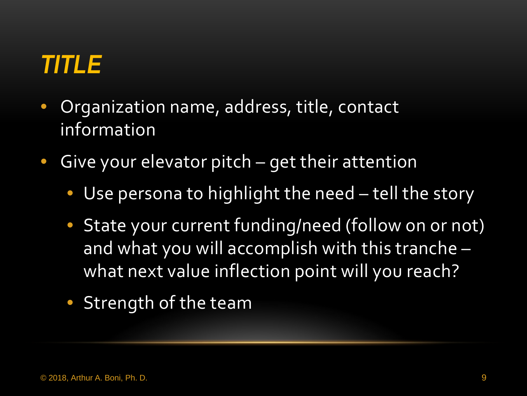# *TITLE*

- Organization name, address, title, contact information
- Give your elevator pitch get their attention
	- Use persona to highlight the need tell the story
	- State your current funding/need (follow on or not) and what you will accomplish with this tranche – what next value inflection point will you reach?
	- Strength of the team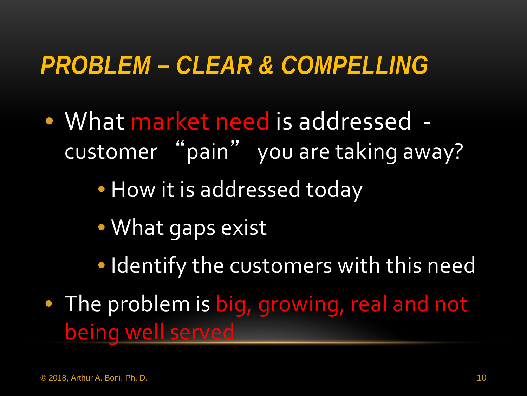#### *PROBLEM – CLEAR & COMPELLING*

• What market need is addressed customer "pain" you are taking away?

• How it is addressed today

- What gaps exist
- Identify the customers with this need
- The problem is big, growing, real and not being well served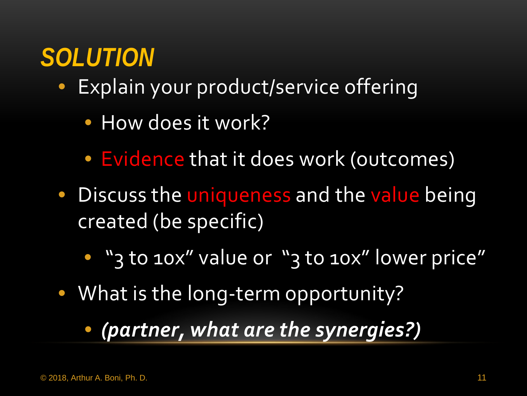## *SOLUTION*

- Explain your product/service offering
	- How does it work?
	- Evidence that it does work (outcomes)
- Discuss the uniqueness and the value being created (be specific)
	- "3 to 10x" value or "3 to 10x" lower price"
- What is the long-term opportunity?
	- *(partner, what are the synergies?)*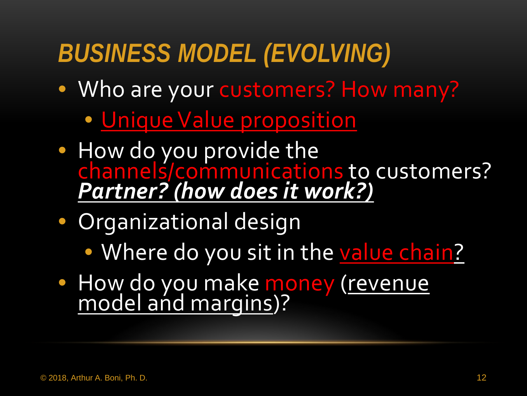# *BUSINESS MODEL (EVOLVING)*

- Who are your customers? How many?
	- Unique Value proposition
- How do you provide the channels/communications to customers? *Partner? (how does it work?)*
- Organizational design
	- Where do you sit in the value chain?
- How do you make money (revenue model and margins)?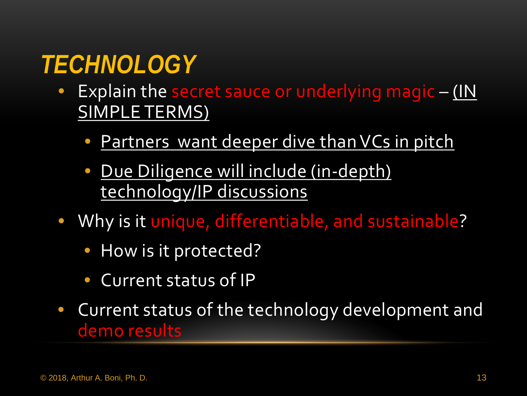## *TECHNOLOGY*

- Explain the secret sauce or underlying magic (IN SIMPLE TERMS)
	- Partners want deeper dive than VCs in pitch
	- Due Diligence will include (in-depth) technology/IP discussions
- Why is it unique, differentiable, and sustainable?
	- How is it protected?
	- Current status of IP
- Current status of the technology development and demo results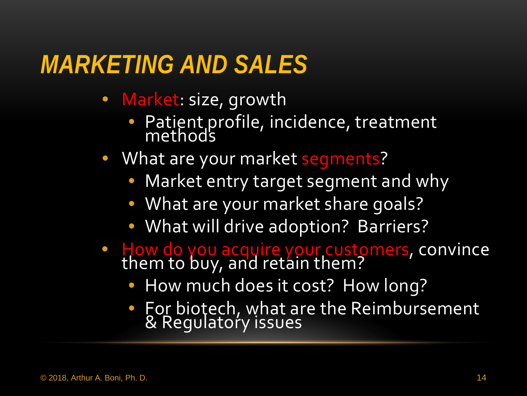#### *MARKETING AND SALES*

- Market: size, growth
	- Patient profile, incidence, treatment methods
- What are your market segments?
	- Market entry target segment and why
	- What are your market share goals?
	- What will drive adoption? Barriers?
- How do you acquire your customers, convince them to buy, and retain them?
	- How much does it cost? How long?
	- For biotech, what are the Reimbursement & Regulatory issues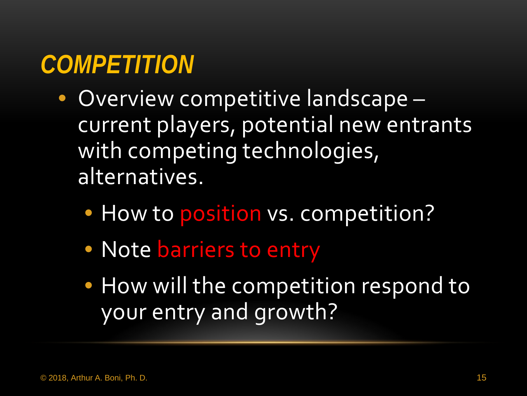### *COMPETITION*

- Overview competitive landscape current players, potential new entrants with competing technologies, alternatives.
	- How to position vs. competition?
	- Note barriers to entry
	- How will the competition respond to your entry and growth?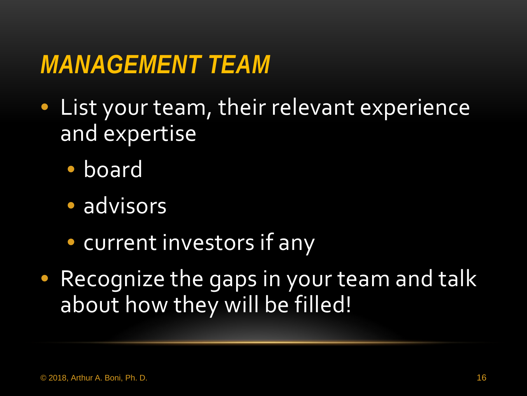#### *MANAGEMENT TEAM*

- List your team, their relevant experience and expertise
	- board
	- advisors
	- current investors if any
- Recognize the gaps in your team and talk about how they will be filled!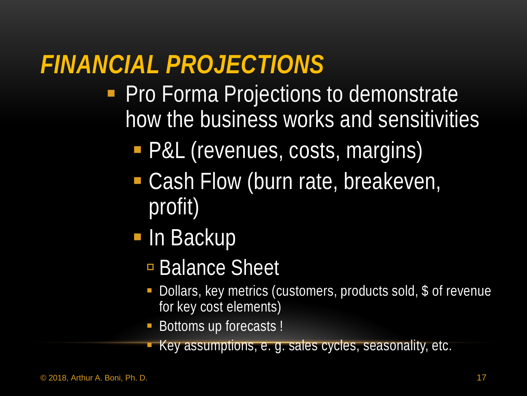## *FINANCIAL PROJECTIONS*

- **Pro Forma Projections to demonstrate** how the business works and sensitivities
	- P&L (revenues, costs, margins)
	- Cash Flow (burn rate, breakeven, profit)
	- **In Backup** 
		- Balance Sheet
		- Dollars, key metrics (customers, products sold, \$ of revenue for key cost elements)
		- Bottoms up forecasts !
		- Key assumptions, e. g. sales cycles, seasonality, etc.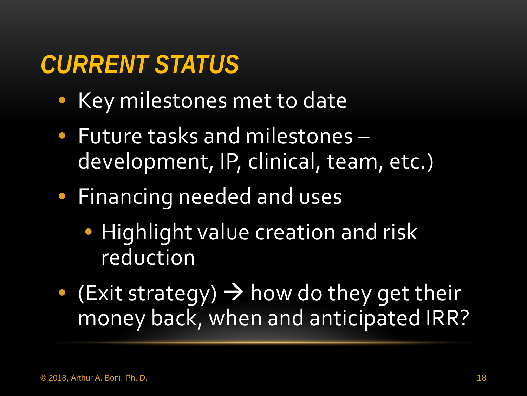## *CURRENT STATUS*

- Key milestones met to date
- Future tasks and milestones development, IP, clinical, team, etc.)
- Financing needed and uses
	- Highlight value creation and risk reduction
- $\bullet$  (Exit strategy)  $\rightarrow$  how do they get their money back, when and anticipated IRR?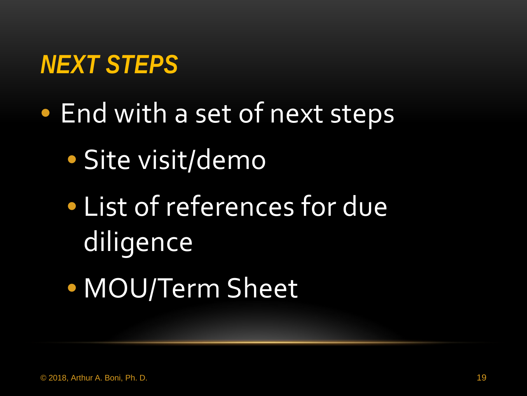### *NEXT STEPS*

- End with a set of next steps
	- Site visit/demo
	- List of references for due diligence
	- MOU/Term Sheet